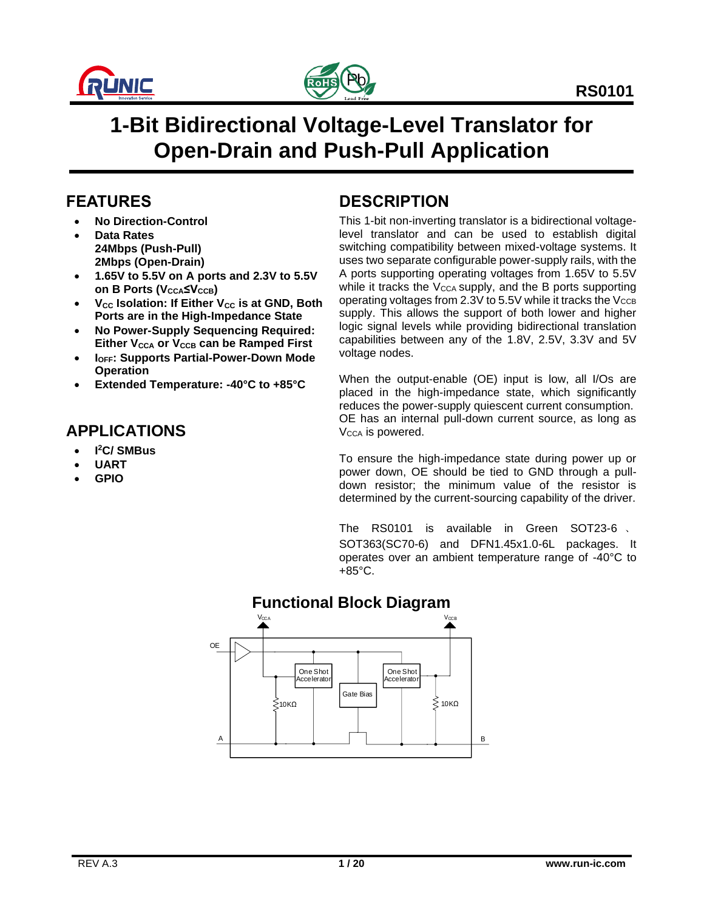



# **1-Bit Bidirectional Voltage-Level Translator for Open-Drain and Push-Pull Application**

### **FEATURES**

- **No Direction-Control**
- **Data Rates 24Mbps (Push-Pull) 2Mbps (Open-Drain)**
- **1.65V to 5.5V on A ports and 2.3V to 5.5V on B Ports (VCCA≤VCCB)**
- **VCC Isolation: If Either VCC is at GND, Both Ports are in the High-Impedance State**
- **No Power-Supply Sequencing Required: Either V<sub>CCA</sub> or V<sub>CCB</sub> can be Ramped First**
- **IOFF: Supports Partial-Power-Down Mode Operation**
- **Extended Temperature: -40°C to +85°C**

### **APPLICATIONS**

- **I <sup>2</sup>C/ SMBus**
- **UART**
- **GPIO**

### **DESCRIPTION**

This 1-bit non-inverting translator is a bidirectional voltagelevel translator and can be used to establish digital switching compatibility between mixed-voltage systems. It uses two separate configurable power-supply rails, with the A ports supporting operating voltages from 1.65V to 5.5V while it tracks the V<sub>CCA</sub> supply, and the B ports supporting operating voltages from 2.3V to  $5.5V$  while it tracks the  $V_{\text{CCB}}$ supply. This allows the support of both lower and higher logic signal levels while providing bidirectional translation capabilities between any of the 1.8V, 2.5V, 3.3V and 5V voltage nodes.

When the output-enable (OE) input is low, all I/Os are placed in the high-impedance state, which significantly reduces the power-supply quiescent current consumption. OE has an internal pull-down current source, as long as V<sub>CCA</sub> is powered.

To ensure the high-impedance state during power up or power down, OE should be tied to GND through a pulldown resistor; the minimum value of the resistor is determined by the current-sourcing capability of the driver.

The RS0101 is available in Green SOT23-6 、 SOT363(SC70-6) and DFN1.45x1.0-6L packages. It operates over an ambient temperature range of -40°C to +85°C.

### **Functional Block Diagram**

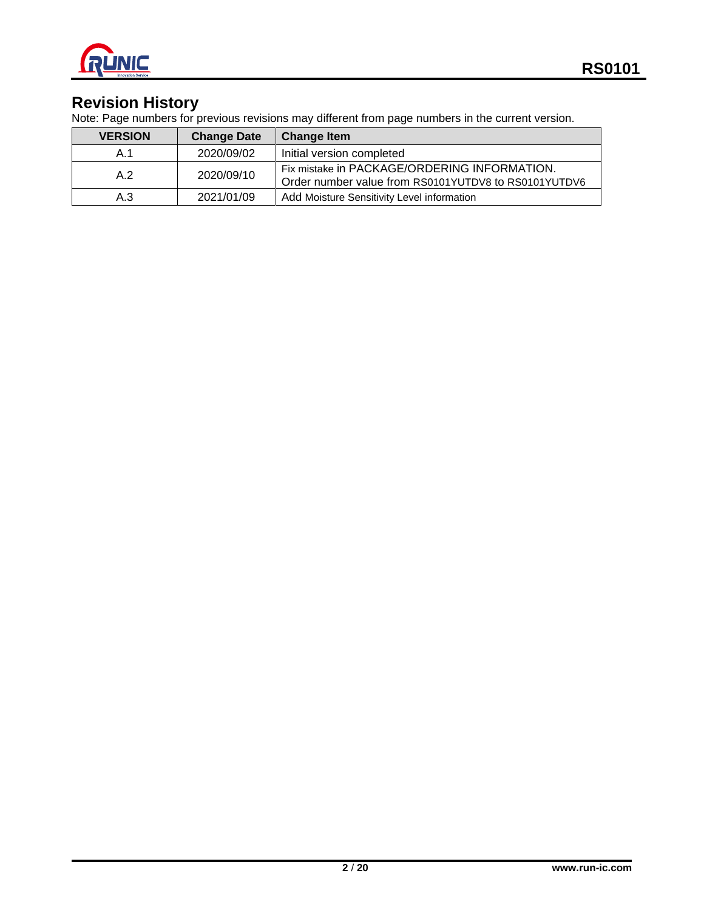

### **Revision History**

Note: Page numbers for previous revisions may different from page numbers in the current version.

| <b>VERSION</b> | <b>Change Date</b> | <b>Change Item</b>                                                                                   |
|----------------|--------------------|------------------------------------------------------------------------------------------------------|
| A.1            | 2020/09/02         | Initial version completed                                                                            |
| A.2            | 2020/09/10         | Fix mistake in PACKAGE/ORDERING INFORMATION.<br>Order number value from RS0101YUTDV8 to RS0101YUTDV6 |
| A.3            | 2021/01/09         | Add Moisture Sensitivity Level information                                                           |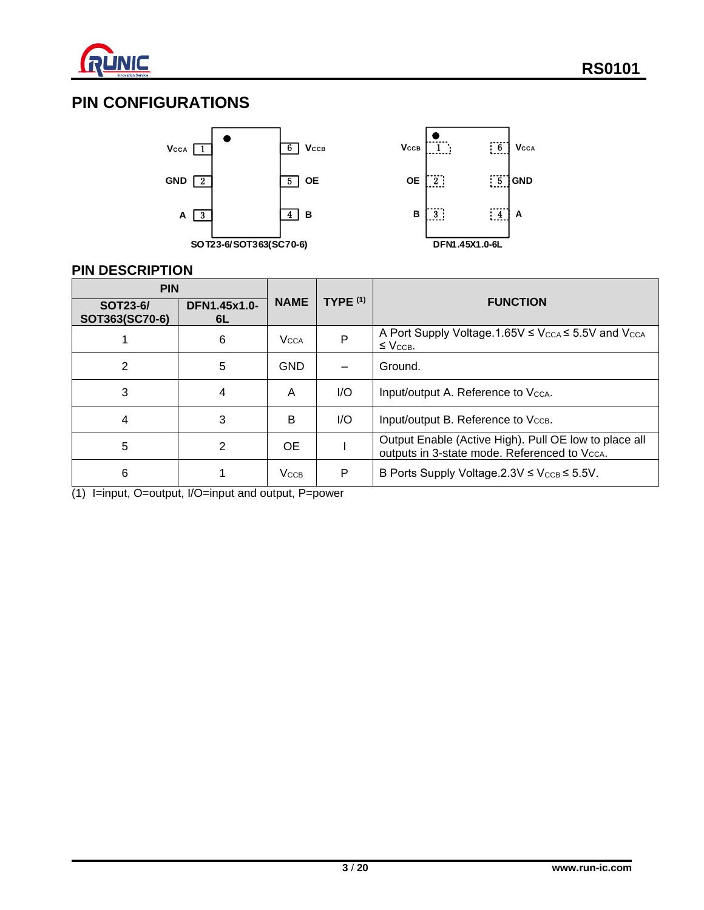

## **PIN CONFIGURATIONS**



### **PIN DESCRIPTION**

| <b>PIN</b>                 |                    |                  |            |                                                                                                                    |
|----------------------------|--------------------|------------------|------------|--------------------------------------------------------------------------------------------------------------------|
| SOT23-6/<br>SOT363(SC70-6) | DFN1.45x1.0-<br>6L | <b>NAME</b>      | TYPE $(1)$ | <b>FUNCTION</b>                                                                                                    |
|                            | 6                  | <b>V</b> CCA     | P          | A Port Supply Voltage. $1.65V \leq V_{\text{CCA}} \leq 5.5V$ and V <sub>CCA</sub><br>$\leq$ V <sub>CCB</sub> .     |
| 2                          | 5                  | <b>GND</b>       |            | Ground.                                                                                                            |
| 3                          | 4                  | A                | I/O        | Input/output A. Reference to Vcca.                                                                                 |
| 4                          | 3                  | B                | I/O        | Input/output B. Reference to V <sub>CCB</sub> .                                                                    |
| 5                          | 2                  | OE.              |            | Output Enable (Active High). Pull OE low to place all<br>outputs in 3-state mode. Referenced to V <sub>CCA</sub> . |
| 6                          |                    | $V_{\text{CCB}}$ | P          | B Ports Supply Voltage. $2.3V \leq V_{\text{CCB}} \leq 5.5V$ .                                                     |

(1) I=input, O=output, I/O=input and output, P=power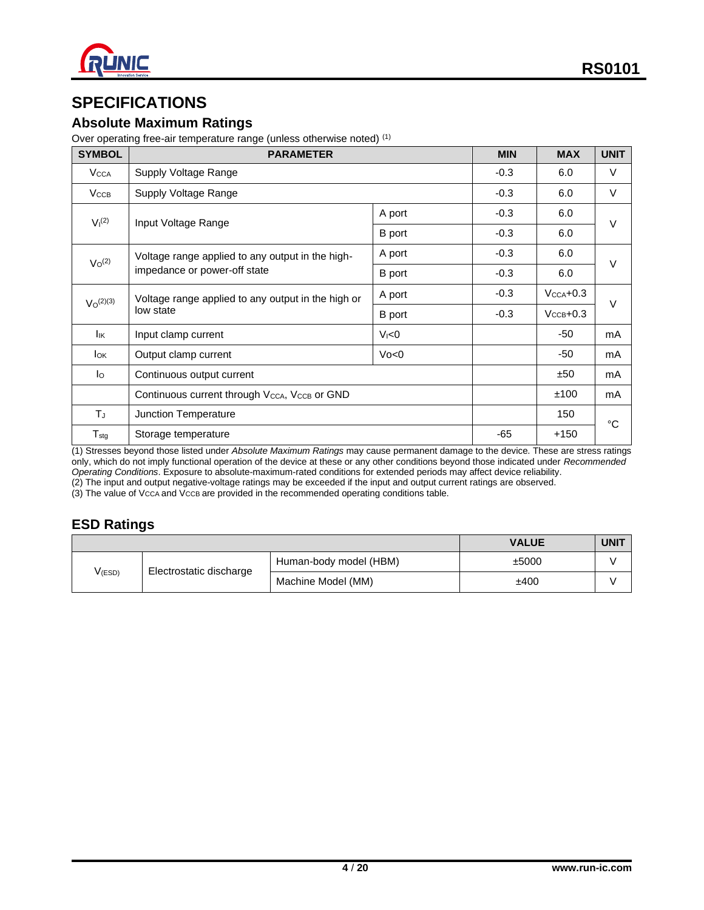

## **SPECIFICATIONS**

#### **Absolute Maximum Ratings**

Over operating free-air temperature range (unless otherwise noted) (1)

| <b>SYMBOL</b>                    | <b>PARAMETER</b>                                                      | <b>MIN</b>        | <b>MAX</b> | <b>UNIT</b>            |        |
|----------------------------------|-----------------------------------------------------------------------|-------------------|------------|------------------------|--------|
| <b>V<sub>CCA</sub></b>           | Supply Voltage Range                                                  |                   | $-0.3$     | 6.0                    | V      |
| $V_{\text{CCB}}$                 | Supply Voltage Range                                                  |                   | $-0.3$     | 6.0                    | V      |
| V <sub>1</sub> (2)               |                                                                       | A port            | $-0.3$     | 6.0                    | $\vee$ |
|                                  | Input Voltage Range                                                   | <b>B</b> port     | $-0.3$     | 6.0                    |        |
|                                  | Voltage range applied to any output in the high-                      | A port            | $-0.3$     | 6.0                    |        |
| V <sub>O</sub> <sup>(2)</sup>    | impedance or power-off state                                          | <b>B</b> port     | $-0.3$     | 6.0                    | $\vee$ |
| V <sub>O</sub> <sup>(2)(3)</sup> | Voltage range applied to any output in the high or                    | A port            | $-0.3$     | $V_{\text{CCA}}+0.3$   | $\vee$ |
|                                  | low state                                                             | <b>B</b> port     | $-0.3$     | $V_{\text{CCB}} + 0.3$ |        |
| lικ                              | Input clamp current                                                   | V <sub>1</sub> <0 |            | -50                    | mA     |
| Iок                              | Output clamp current                                                  | $V$ o<0           |            | -50                    | mA     |
| $I_{\rm O}$                      | Continuous output current                                             |                   | ±50        | mA                     |        |
|                                  | Continuous current through V <sub>CCA</sub> , V <sub>CCB</sub> or GND |                   | ±100       | mA                     |        |
| ΤJ                               | Junction Temperature                                                  |                   |            | 150                    | °C     |
| $T_{\text{stg}}$                 | Storage temperature                                                   |                   | $-65$      | $+150$                 |        |

(1) Stresses beyond those listed under *Absolute Maximum Ratings* may cause permanent damage to the device. These are stress ratings only, which do not imply functional operation of the device at these or any other conditions beyond those indicated under *Recommended Operating Conditions*. Exposure to absolute-maximum-rated conditions for extended periods may affect device reliability.

(2) The input and output negative-voltage ratings may be exceeded if the input and output current ratings are observed.

(3) The value of VCCA and VCCB are provided in the recommended operating conditions table.

### **ESD Ratings**

|         |                                                   |                    | <b>VALUE</b> | <b>UNIT</b> |
|---------|---------------------------------------------------|--------------------|--------------|-------------|
| V (ESD) | Human-body model (HBM)<br>Electrostatic discharge |                    | ±5000        |             |
|         |                                                   | Machine Model (MM) | ±400         |             |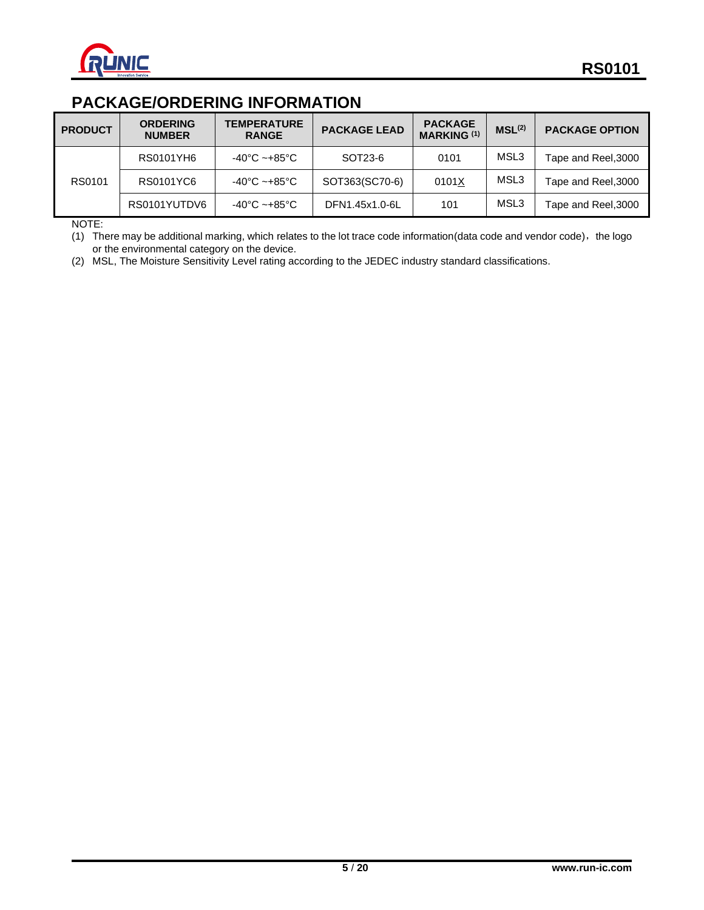

## **PACKAGE/ORDERING INFORMATION**

| <b>PRODUCT</b> | <b>ORDERING</b><br><b>NUMBER</b> | <b>TEMPERATURE</b><br><b>RANGE</b> | <b>PACKAGE LEAD</b> | <b>PACKAGE</b><br><b>MARKING (1)</b> | MSL <sup>(2)</sup> | <b>PACKAGE OPTION</b> |
|----------------|----------------------------------|------------------------------------|---------------------|--------------------------------------|--------------------|-----------------------|
| RS0101         | RS0101YH6                        | $-40^{\circ}$ C ~ $+85^{\circ}$ C  | SOT23-6             | 0101                                 | MSL3               | Tape and Reel, 3000   |
|                | RS0101YC6                        | -40°C ~+85°C                       | SOT363(SC70-6)      | 0101X                                | MSL3               | Tape and Reel, 3000   |
|                | RS0101YUTDV6                     | $-40^{\circ}$ C ~ $+85^{\circ}$ C  | DFN1.45x1.0-6L      | 101                                  | MSL3               | Tape and Reel, 3000   |

NOTE:

(1) There may be additional marking, which relates to the lot trace code information(data code and vendor code), the logo or the environmental category on the device.

(2) MSL, The Moisture Sensitivity Level rating according to the JEDEC industry standard classifications.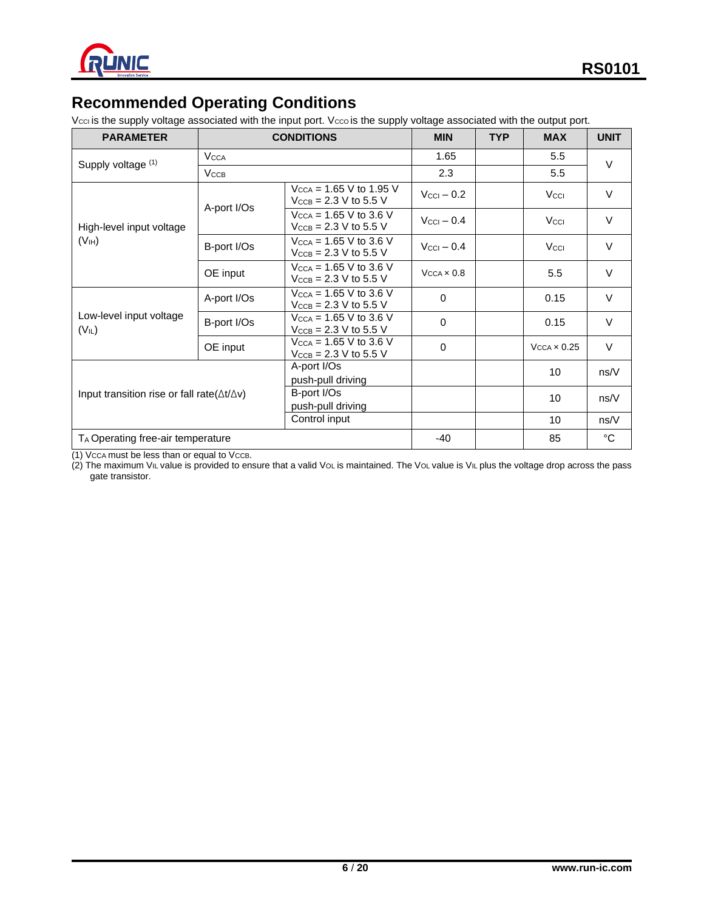

### **Recommended Operating Conditions**

Vcci is the supply voltage associated with the input port. Vcco is the supply voltage associated with the output port.

| <b>PARAMETER</b>                                          | <b>CONDITIONS</b> | <b>MIN</b>                                                                              | <b>TYP</b>                  | <b>MAX</b> | <b>UNIT</b>                  |        |
|-----------------------------------------------------------|-------------------|-----------------------------------------------------------------------------------------|-----------------------------|------------|------------------------------|--------|
| Supply voltage (1)                                        | <b>V</b> CCA      |                                                                                         | 1.65                        |            | 5.5                          | $\vee$ |
|                                                           | $V_{\text{CCB}}$  |                                                                                         | 2.3                         |            | 5.5                          |        |
|                                                           |                   | $V_{\text{CCA}}$ = 1.65 V to 1.95 V<br>$V_{\text{CCB}} = 2.3 \text{ V}$ to 5.5 V        | $V_{\rm CCl}$ – 0.2         |            | Vcci                         | $\vee$ |
| High-level input voltage                                  | A-port I/Os       | $V_{\text{CCA}} = 1.65 \text{ V}$ to 3.6 V<br>$V_{\text{CCB}} = 2.3 \text{ V}$ to 5.5 V | $V_{\text{CCl}}$ $-$ 0.4    |            | Vcci                         | $\vee$ |
| (V <sub>IH</sub> )                                        | B-port I/Os       | $V_{\text{CCA}} = 1.65 \text{ V}$ to 3.6 V<br>$V_{\text{CCB}} = 2.3 \text{ V}$ to 5.5 V | $V_{\rm CCl}$ – 0.4         |            | Vcci                         | $\vee$ |
|                                                           | OE input          | $V_{\text{CCA}} = 1.65 \text{ V}$ to 3.6 V<br>$V_{\text{CCB}} = 2.3 \text{ V}$ to 5.5 V | $V_{\text{CCA}} \times 0.8$ |            | 5.5                          | $\vee$ |
|                                                           | A-port I/Os       | $V_{\text{CCA}} = 1.65 \text{ V}$ to 3.6 V<br>$V_{\text{CCB}} = 2.3 \text{ V}$ to 5.5 V | $\Omega$                    |            | 0.15                         | $\vee$ |
| Low-level input voltage<br>$(V_{IL})$                     | B-port I/Os       | $V_{\text{CCA}} = 1.65 \text{ V}$ to 3.6 V<br>$V_{\text{CCB}} = 2.3 \text{ V}$ to 5.5 V | $\Omega$                    |            | 0.15                         | $\vee$ |
|                                                           | OE input          | $V_{\text{CCA}}$ = 1.65 V to 3.6 V<br>$V_{\text{CCB}} = 2.3 \text{ V}$ to 5.5 V         | $\Omega$                    |            | $V_{\text{CCA}} \times 0.25$ | $\vee$ |
|                                                           |                   | A-port I/Os<br>push-pull driving                                                        |                             |            | 10                           | ns/V   |
| Input transition rise or fall rate( $\Delta t/\Delta v$ ) |                   | B-port I/Os<br>push-pull driving                                                        |                             |            | 10                           | ns/V   |
|                                                           |                   | Control input                                                                           |                             |            | 10                           | ns/V   |
| T <sub>A</sub> Operating free-air temperature             |                   |                                                                                         | $-40$                       |            | 85                           | °C     |

(1) VCCA must be less than or equal to VCCB.

(2) The maximum VIL value is provided to ensure that a valid VoL is maintained. The VoL value is VIL plus the voltage drop across the pass gate transistor.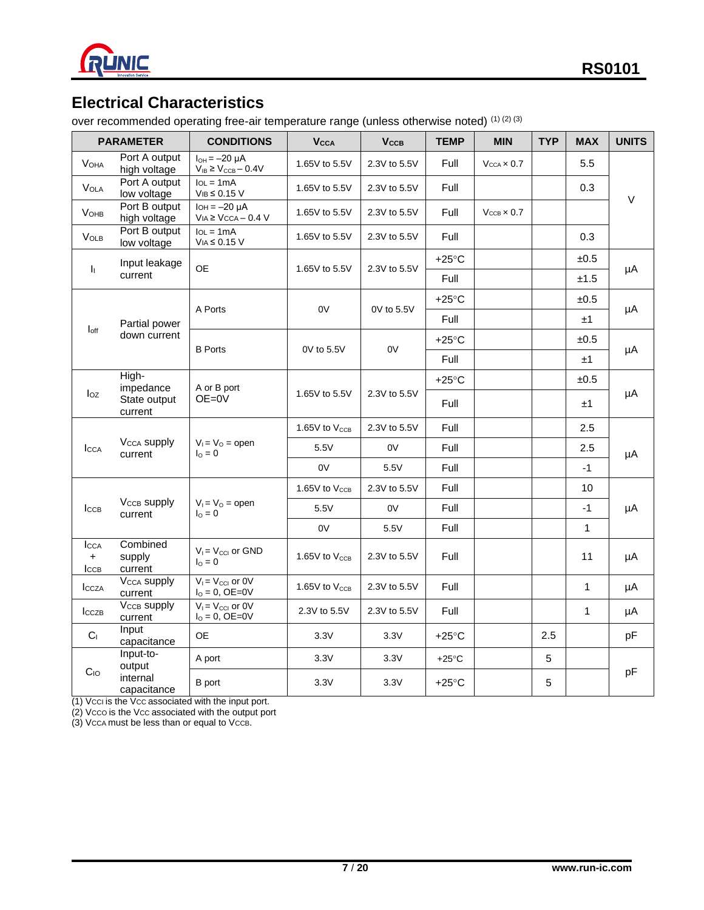

## **Electrical Characteristics**

over recommended operating free-air temperature range (unless otherwise noted) (1) (2) (3)

|                                     | <b>PARAMETER</b>                              | <b>CONDITIONS</b>                                    | <b>V<sub>CCA</sub></b>    | <b>V<sub>ссв</sub></b> | <b>TEMP</b>     | <b>MIN</b>                  | <b>TYP</b> | <b>MAX</b>   | <b>UNITS</b> |    |
|-------------------------------------|-----------------------------------------------|------------------------------------------------------|---------------------------|------------------------|-----------------|-----------------------------|------------|--------------|--------------|----|
| V <sub>OHA</sub>                    | Port A output<br>high voltage                 | $I_{OH} = -20 \mu A$<br>$V_{IB} \geq V_{CCB} - 0.4V$ | 1.65V to 5.5V             | 2.3V to 5.5V           | Full            | $V_{\text{CCA}} \times 0.7$ |            | 5.5          |              |    |
| <b>VOLA</b>                         | Port A output<br>low voltage                  | $IoL = 1mA$<br>$VIB \leq 0.15 V$                     | 1.65V to 5.5V             | 2.3V to 5.5V           | Full            |                             |            | 0.3          | V            |    |
| V <sub>OHB</sub>                    | Port B output<br>high voltage                 | $I$ OH = $-20$ µA<br>$VIA \geq VCCA - 0.4 V$         | 1.65V to 5.5V             | 2.3V to 5.5V           | Full            | $V_{\text{CCB}} \times 0.7$ |            |              |              |    |
| <b>VOLB</b>                         | Port B output<br>low voltage                  | $IoL = 1mA$<br>$VIA \leq 0.15$ V                     | 1.65V to 5.5V             | 2.3V to 5.5V           | Full            |                             |            | 0.3          |              |    |
|                                     | Input leakage                                 | <b>OE</b>                                            | 1.65V to 5.5V             | 2.3V to 5.5V           | $+25^{\circ}$ C |                             |            | ±0.5         |              |    |
| h.                                  | current                                       |                                                      |                           |                        | Full            |                             |            | ±1.5         | μA           |    |
|                                     |                                               |                                                      |                           |                        | $+25^{\circ}$ C |                             |            | ±0.5         |              |    |
|                                     | Partial power                                 | A Ports                                              | 0V                        | 0V to 5.5V             | Full            |                             |            | ±1           | μA           |    |
| $I_{off}$                           | down current                                  |                                                      |                           |                        | $+25^{\circ}$ C |                             |            | ±0.5         |              |    |
|                                     |                                               | <b>B</b> Ports                                       | 0V to 5.5V                | 0V                     | Full            |                             |            | ±1           | μA           |    |
|                                     | High-<br>impedance<br>State output<br>current | A or B port                                          |                           |                        | $+25^{\circ}$ C |                             |            | ±0.5         |              |    |
| loz                                 |                                               | $OE=0V$                                              | 1.65V to 5.5V             | 2.3V to 5.5V           | Full            |                             |            | ±1           | μA           |    |
|                                     |                                               | $V_1 = V_0 =$ open<br>$I_0 = 0$                      | 1.65V to V <sub>CCB</sub> | 2.3V to 5.5V           | Full            |                             |            | 2.5          |              |    |
| <b>I</b> CCA                        | <b>V<sub>CCA</sub></b> supply<br>current      |                                                      |                           | 5.5V                   | 0V              | Full                        |            |              | 2.5          | μA |
|                                     |                                               |                                                      | 0V                        | 5.5V                   | Full            |                             |            | $-1$         |              |    |
|                                     |                                               |                                                      | 1.65V to V <sub>CCB</sub> | 2.3V to 5.5V           | Full            |                             |            | 10           |              |    |
| ICCB                                | V <sub>CCB</sub> supply<br>current            | $V_1 = V_0 =$ open<br>$\ln = 0$                      | 5.5V                      | 0V                     | Full            |                             |            | $-1$         | μA           |    |
|                                     |                                               |                                                      | 0V                        | 5.5V                   | Full            |                             |            | $\mathbf{1}$ |              |    |
| <b>I</b> CCA<br>$+$<br><b>I</b> CCB | Combined<br>supply<br>current                 | $V_1 = V_{\text{CCI}}$ or GND<br>$I0 = 0$            | 1.65V to V <sub>CCB</sub> | 2.3V to 5.5V           | Full            |                             |            | 11           | μA           |    |
| <b>I</b> CCZA                       | V <sub>CCA</sub> supply<br>current            | $V_1 = V_{\text{CCI}}$ or 0V<br>$I_0 = 0$ , OE=0V    | 1.65V to $V_{\text{CCB}}$ | 2.3V to 5.5V           | Full            |                             |            | 1            | μA           |    |
| <b>I</b> CCZB                       | V <sub>CCB</sub> supply<br>current            | $V_1 = V_{\text{CCI}}$ or 0V<br>$IO = 0$ , OE=0V     | 2.3V to 5.5V              | 2.3V to 5.5V           | Full            |                             |            | $\mathbf{1}$ | μA           |    |
| C <sub>1</sub>                      | Input<br>capacitance                          | <b>OE</b>                                            | 3.3V                      | 3.3V                   | $+25^{\circ}$ C |                             | 2.5        |              | pF           |    |
|                                     | Input-to-<br>output                           | A port                                               | 3.3V                      | 3.3V                   | $+25^{\circ}$ C |                             | 5          |              |              |    |
| $C_{10}$                            | internal<br>capacitance                       | <b>B</b> port                                        | 3.3V                      | 3.3V                   | $+25^{\circ}$ C |                             | 5          |              | pF           |    |

(1) VCCI is the VCC associated with the input port.

(2) VCCO is the VCC associated with the output port

(3) Vcca must be less than or equal to VccB.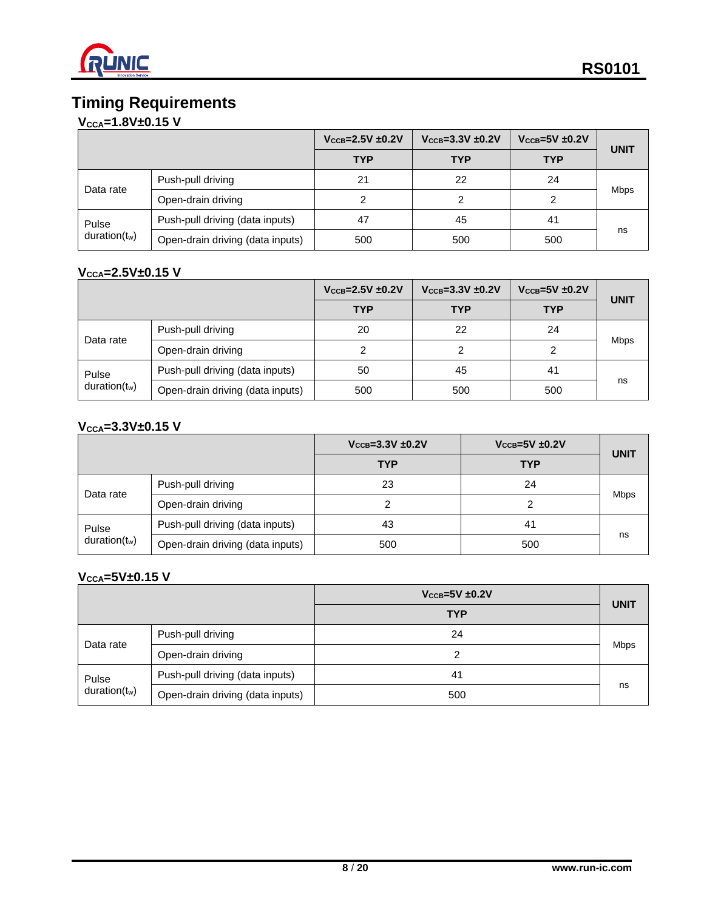

## **Timing Requirements**

### **VCCA=1.8V±0.15 V**

|                          |                                  | $V_{\text{CCB}} = 2.5V \pm 0.2V$ | $V_{\text{CCB}} = 3.3V \pm 0.2V$ | $V_{\text{CCB}} = 5V \pm 0.2V$ |             |
|--------------------------|----------------------------------|----------------------------------|----------------------------------|--------------------------------|-------------|
|                          |                                  | <b>TYP</b>                       | <b>TYP</b>                       | <b>TYP</b>                     | <b>UNIT</b> |
|                          | Push-pull driving                | 21                               | 22                               | 24                             |             |
| Data rate                | Open-drain driving               |                                  |                                  |                                | Mbps        |
| Pulse<br>$duration(t_w)$ | Push-pull driving (data inputs)  | 47                               | 45                               | 41                             |             |
|                          | Open-drain driving (data inputs) | 500                              | 500                              | 500                            | ns          |

#### **VCCA=2.5V±0.15 V**

|                          |                                  | $V_{\text{CCB}} = 2.5V \pm 0.2V$ | $V_{\text{CCB}} = 3.3V \pm 0.2V$ | $V_{\text{CCB}} = 5V \pm 0.2V$ | <b>UNIT</b> |
|--------------------------|----------------------------------|----------------------------------|----------------------------------|--------------------------------|-------------|
|                          |                                  | <b>TYP</b>                       | <b>TYP</b>                       | <b>TYP</b>                     |             |
|                          | Push-pull driving                | 20                               | 22                               | 24                             |             |
| Data rate                | Open-drain driving               |                                  |                                  |                                | Mbps        |
| Pulse<br>$duration(t_w)$ | Push-pull driving (data inputs)  | 50                               | 45                               | 41                             |             |
|                          | Open-drain driving (data inputs) | 500                              | 500                              | 500                            | ns          |

#### **VCCA=3.3V±0.15 V**

|                          |                                  | $V_{\text{CCB}} = 3.3V \pm 0.2V$ | $V_{\text{CCB}} = 5V \pm 0.2V$ | <b>UNIT</b> |
|--------------------------|----------------------------------|----------------------------------|--------------------------------|-------------|
|                          |                                  | <b>TYP</b>                       | <b>TYP</b>                     |             |
|                          | Push-pull driving                | 23                               | 24                             |             |
| Data rate                | Open-drain driving               |                                  |                                | <b>Mbps</b> |
| Pulse<br>$duration(t_w)$ | Push-pull driving (data inputs)  | 43                               | 41                             |             |
|                          | Open-drain driving (data inputs) | 500                              | 500                            | ns          |

### **VCCA=5V±0.15 V**

|                           |                                  | $V_{\text{CCB}} = 5V \pm 0.2V$ | <b>UNIT</b> |
|---------------------------|----------------------------------|--------------------------------|-------------|
|                           |                                  | <b>TYP</b>                     |             |
|                           | Push-pull driving                | 24                             |             |
| Data rate                 | Open-drain driving               |                                | <b>Mbps</b> |
| Pulse<br>duration $(t_w)$ | Push-pull driving (data inputs)  | 41                             |             |
|                           | Open-drain driving (data inputs) | 500                            | ns          |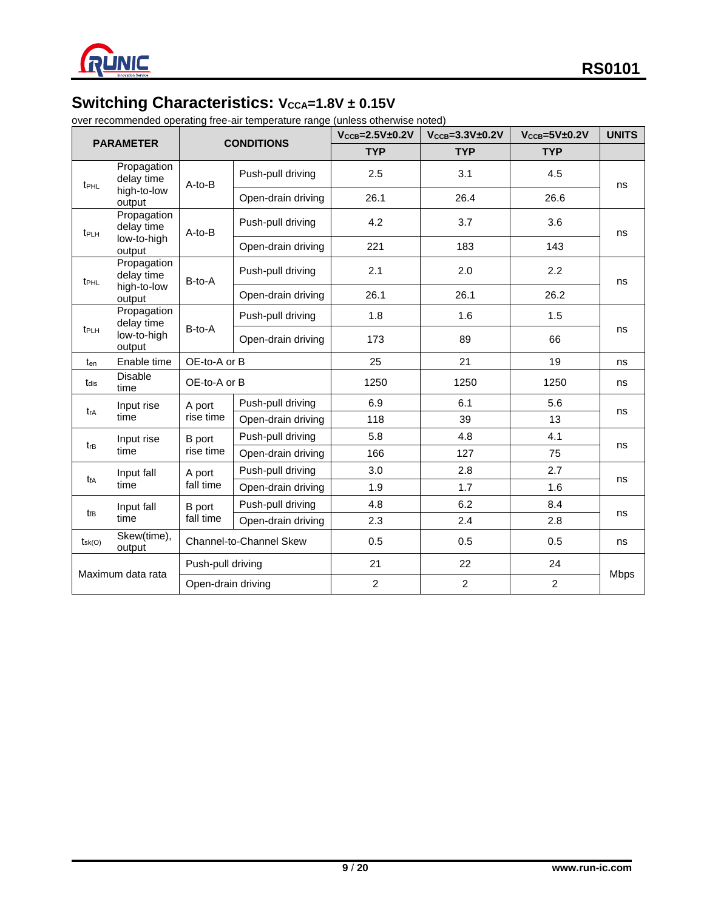

## **Switching Characteristics:**  $V_{\text{CCA}}=1.8V \pm 0.15V$

| <b>PARAMETER</b> |                           | <b>CONDITIONS</b>       |                    | $V_{\text{CCB}} = 2.5V \pm 0.2V$ | $V_{\text{CCB}} = 3.3V \pm 0.2V$ | $V_{\text{CCB}} = 5V \pm 0.2V$ | <b>UNITS</b> |
|------------------|---------------------------|-------------------------|--------------------|----------------------------------|----------------------------------|--------------------------------|--------------|
|                  |                           |                         |                    | <b>TYP</b>                       | <b>TYP</b>                       | <b>TYP</b>                     |              |
| t <sub>PHL</sub> | Propagation<br>delay time | $A-to-B$                | Push-pull driving  | 2.5                              | 3.1                              | 4.5                            | ns           |
|                  | high-to-low<br>output     |                         | Open-drain driving | 26.1                             | 26.4                             | 26.6                           |              |
| t <sub>PLH</sub> | Propagation<br>delay time | $A-to-B$                | Push-pull driving  | 4.2                              | 3.7                              | 3.6                            | ns           |
|                  | low-to-high<br>output     |                         | Open-drain driving | 221                              | 183                              | 143                            |              |
| t <sub>PHL</sub> | Propagation<br>delay time | B-to-A                  | Push-pull driving  | 2.1                              | 2.0                              | 2.2                            | ns           |
|                  | high-to-low<br>output     |                         | Open-drain driving | 26.1                             | 26.1                             | 26.2                           |              |
|                  | Propagation<br>delay time |                         | Push-pull driving  | 1.8                              | 1.6                              | 1.5                            |              |
| t <sub>PLH</sub> | low-to-high<br>output     | B-to-A                  | Open-drain driving | 173                              | 89                               | 66                             | ns           |
| ten              | Enable time               | OE-to-A or B            |                    | 25                               | 21                               | 19                             | ns           |
| t <sub>dis</sub> | Disable<br>time           | OE-to-A or B            |                    | 1250                             | 1250                             | 1250                           | ns           |
| t <sub>rA</sub>  | Input rise                | A port                  | Push-pull driving  | 6.9                              | 6.1                              | 5.6                            | ns           |
|                  | time                      | rise time               | Open-drain driving | 118                              | 39                               | 13                             |              |
| $t_{rB}$         | Input rise                | <b>B</b> port           | Push-pull driving  | 5.8                              | 4.8                              | 4.1                            | ns           |
|                  | time                      | rise time               | Open-drain driving | 166                              | 127                              | 75                             |              |
|                  | Input fall                | A port                  | Push-pull driving  | 3.0                              | 2.8                              | 2.7                            |              |
| t <sub>fA</sub>  | time                      | fall time               | Open-drain driving | 1.9                              | 1.7                              | 1.6                            | ns           |
|                  | Input fall                | <b>B</b> port           | Push-pull driving  | 4.8                              | 6.2                              | 8.4                            |              |
|                  | $t_{\rm{fB}}$<br>time     | fall time               | Open-drain driving | 2.3                              | 2.4                              | 2.8                            | ns           |
| tsk(O)           | Skew(time),<br>output     | Channel-to-Channel Skew |                    | 0.5                              | 0.5                              | 0.5                            | ns           |
|                  |                           | Push-pull driving       |                    | 21                               | 22                               | 24                             |              |
|                  | Maximum data rata         | Open-drain driving      |                    | $\overline{c}$                   | $\overline{2}$                   | $\overline{2}$                 | <b>Mbps</b>  |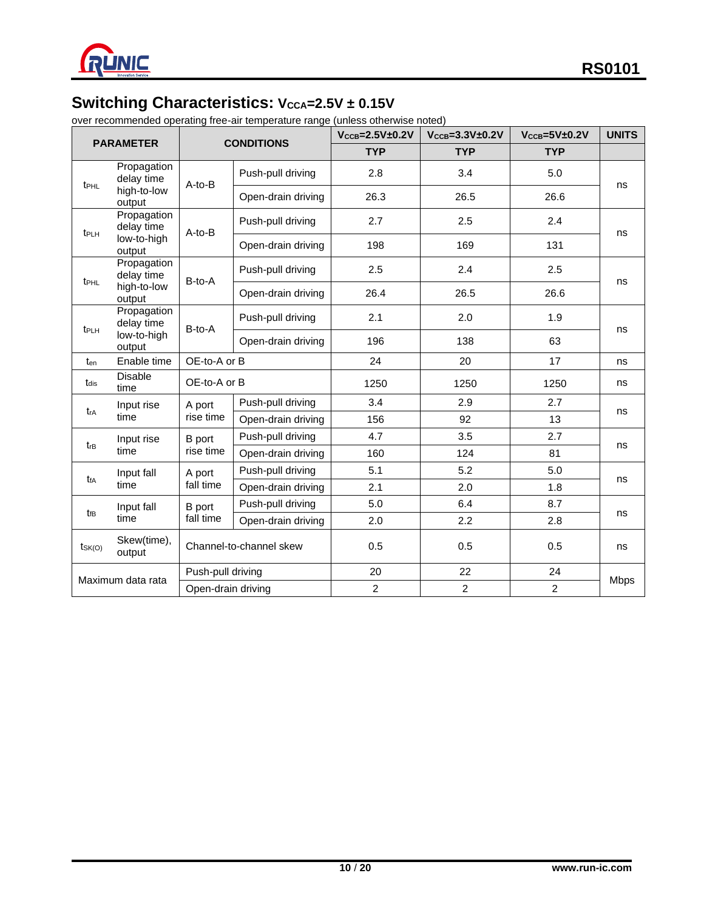

## **Switching Characteristics:**  $V_{\text{CCA}}=2.5V \pm 0.15V$

| <b>PARAMETER</b>                                                       |                           | <b>CONDITIONS</b>          |                    | $V_{\text{CCB}} = 2.5V \pm 0.2V$ | $V_{\text{CCB}} = 3.3V \pm 0.2V$ | $V_{\text{CCB}} = 5V \pm 0.2V$ | <b>UNITS</b> |    |
|------------------------------------------------------------------------|---------------------------|----------------------------|--------------------|----------------------------------|----------------------------------|--------------------------------|--------------|----|
|                                                                        |                           |                            |                    | <b>TYP</b>                       | <b>TYP</b>                       | <b>TYP</b>                     |              |    |
| delay time<br>t <sub>PHL</sub><br>high-to-low<br>output                | Propagation               | $A-to-B$                   | Push-pull driving  | 2.8                              | 3.4                              | 5.0                            | ns           |    |
|                                                                        |                           |                            | Open-drain driving | 26.3                             | 26.5                             | 26.6                           |              |    |
| t <sub>PLH</sub>                                                       | Propagation<br>delay time | $A-to-B$                   | Push-pull driving  | 2.7                              | 2.5                              | 2.4                            |              |    |
|                                                                        | low-to-high<br>output     |                            | Open-drain driving | 198                              | 169                              | 131                            | ns           |    |
|                                                                        | Propagation<br>delay time | B-to-A                     | Push-pull driving  | 2.5                              | 2.4                              | 2.5                            |              |    |
| t <sub>PHL</sub>                                                       | high-to-low<br>output     |                            | Open-drain driving | 26.4                             | 26.5                             | 26.6                           | ns           |    |
| Propagation<br>delay time<br>t <sub>PLH</sub><br>low-to-high<br>output | B-to-A                    | Push-pull driving          | 2.1                | 2.0                              | 1.9                              | ns                             |              |    |
|                                                                        |                           |                            | Open-drain driving | 196                              | 138                              | 63                             |              |    |
| t <sub>en</sub>                                                        | Enable time               | OE-to-A or B               |                    | 24                               | 20                               | 17                             | ns           |    |
| t <sub>dis</sub>                                                       | Disable<br>time           | OE-to-A or B               |                    | 1250                             | 1250                             | 1250                           | ns           |    |
|                                                                        | Input rise<br>time        | A port                     | Push-pull driving  | 3.4                              | 2.9                              | 2.7                            | ns           |    |
| t <sub>rA</sub>                                                        |                           | rise time                  | Open-drain driving | 156                              | 92                               | 13                             |              |    |
|                                                                        | Input rise                | B port                     | Push-pull driving  | 4.7                              | 3.5                              | 2.7                            | ns           |    |
| $t_{rB}$<br>time                                                       |                           | rise time                  | Open-drain driving | 160                              | 124                              | 81                             |              |    |
|                                                                        | Input fall                | A port                     | Push-pull driving  | 5.1                              | 5.2                              | 5.0                            |              |    |
| t <sub>fA</sub>                                                        | time                      |                            | fall time          | Open-drain driving               | 2.1                              | 2.0                            | 1.8          | ns |
| t <sub>fВ</sub>                                                        | Input fall<br>time        | <b>B</b> port<br>fall time | Push-pull driving  | 5.0                              | 6.4                              | 8.7                            | ns           |    |
|                                                                        |                           |                            | Open-drain driving | 2.0                              | 2.2                              | 2.8                            |              |    |
| tsk(0)                                                                 | Skew(time),<br>output     | Channel-to-channel skew    |                    | 0.5                              | 0.5                              | 0.5                            | ns           |    |
|                                                                        |                           |                            | Push-pull driving  | 20                               | 22                               | 24                             |              |    |
| Maximum data rata                                                      |                           | Open-drain driving         |                    | $\overline{2}$                   | $\overline{2}$                   | $\overline{2}$                 | <b>Mbps</b>  |    |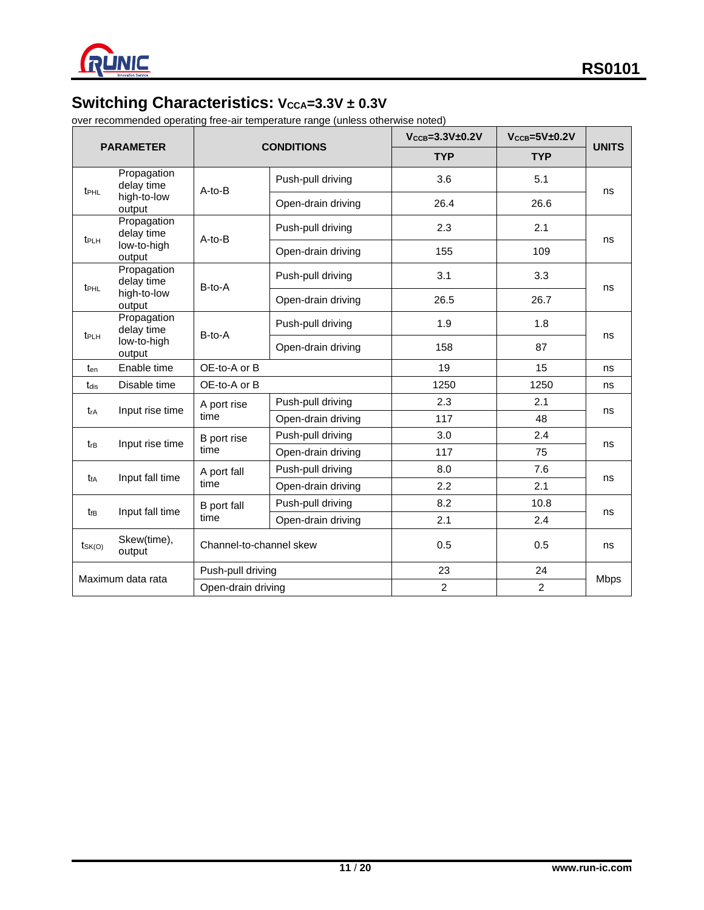

## **Switching Characteristics:**  $V_{\text{CCA}}=3.3V \pm 0.3V$

| <b>PARAMETER</b>  |                                                                        |                                         |                    | $V_{\text{CCB}} = 3.3V \pm 0.2V$ | $V_{\text{CCB}} = 5V \pm 0.2V$ | <b>UNITS</b> |  |
|-------------------|------------------------------------------------------------------------|-----------------------------------------|--------------------|----------------------------------|--------------------------------|--------------|--|
|                   |                                                                        |                                         | <b>CONDITIONS</b>  | <b>TYP</b>                       | <b>TYP</b>                     |              |  |
| t <sub>PHL</sub>  | Propagation<br>delay time                                              | $A-to-B$                                | Push-pull driving  | 3.6                              | 5.1                            | ns           |  |
|                   | high-to-low<br>output                                                  |                                         | Open-drain driving | 26.4                             | 26.6                           |              |  |
|                   | Propagation<br>delay time                                              |                                         | Push-pull driving  | 2.3                              | 2.1                            | ns           |  |
| t <sub>PLH</sub>  | low-to-high<br>output                                                  | $A-to-B$                                | Open-drain driving | 155                              | 109                            |              |  |
|                   | Propagation<br>delay time                                              | B-to-A                                  | Push-pull driving  | 3.1                              | 3.3                            |              |  |
| $t_{\text{PHL}}$  | high-to-low<br>output                                                  |                                         | Open-drain driving | 26.5                             | 26.7                           | ns           |  |
|                   | Propagation<br>delay time<br>t <sub>PLH</sub><br>low-to-high<br>output | B-to-A                                  | Push-pull driving  | 1.9                              | 1.8                            | ns           |  |
|                   |                                                                        |                                         | Open-drain driving | 158                              | 87                             |              |  |
| ten               | Enable time                                                            | OE-to-A or B                            |                    | 19                               | 15                             | ns           |  |
| tdis              | Disable time                                                           | OE-to-A or B                            |                    | 1250                             | 1250                           | ns           |  |
|                   | Input rise time                                                        | A port rise<br>time                     | Push-pull driving  | 2.3                              | 2.1                            | ns           |  |
| t <sub>rA</sub>   |                                                                        |                                         | Open-drain driving | 117                              | 48                             |              |  |
|                   |                                                                        | B port rise                             | Push-pull driving  | 3.0                              | 2.4                            |              |  |
| tгв               | Input rise time                                                        | time                                    | Open-drain driving | 117                              | 75                             | ns           |  |
|                   | Input fall time                                                        | A port fall<br>time                     | Push-pull driving  | 8.0                              | 7.6                            | ns           |  |
| t <sub>fA</sub>   |                                                                        |                                         | Open-drain driving | 2.2                              | 2.1                            |              |  |
| t <sub>fB</sub>   | Input fall time                                                        | B port fall<br>time                     | Push-pull driving  | 8.2                              | 10.8                           | ns           |  |
|                   |                                                                        |                                         | Open-drain driving | 2.1                              | 2.4                            |              |  |
| $ts_{K(O)}$       | Skew(time),<br>output                                                  | Channel-to-channel skew                 |                    | 0.5                              | 0.5                            | ns           |  |
| Maximum data rata |                                                                        | Push-pull driving<br>Open-drain driving |                    | 23                               | 24                             | <b>Mbps</b>  |  |
|                   |                                                                        |                                         |                    | $\overline{2}$                   | $\overline{2}$                 |              |  |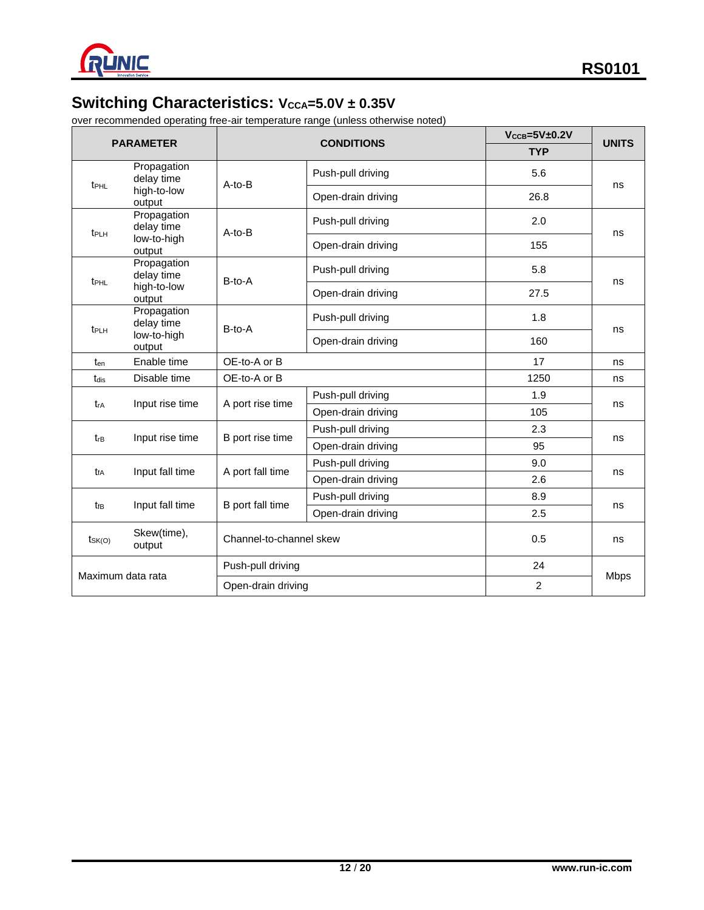

## **Switching Characteristics:**  $V_{\text{CCA}} = 5.0V \pm 0.35V$

| <b>PARAMETER</b>      |                                           | <b>CONDITIONS</b>       |                    | $V_{\text{CCB}} = 5V \pm 0.2V$ | <b>UNITS</b>       |     |    |
|-----------------------|-------------------------------------------|-------------------------|--------------------|--------------------------------|--------------------|-----|----|
|                       |                                           |                         |                    | <b>TYP</b>                     |                    |     |    |
| t <sub>PHL</sub>      | Propagation<br>delay time                 | A-to-B                  | Push-pull driving  | 5.6                            | ns                 |     |    |
| high-to-low<br>output |                                           | Open-drain driving      | 26.8               |                                |                    |     |    |
|                       | Propagation<br>delay time                 | A-to-B                  | Push-pull driving  | 2.0                            | ns                 |     |    |
| t <sub>PLH</sub>      | low-to-high<br>output                     |                         | Open-drain driving | 155                            |                    |     |    |
|                       | Propagation<br>delay time                 |                         | Push-pull driving  | 5.8                            |                    |     |    |
|                       | t <sub>PHL</sub><br>high-to-low<br>output | B-to-A                  | Open-drain driving | 27.5                           | ns                 |     |    |
|                       | Propagation<br>delay time                 | B-to-A                  | Push-pull driving  | 1.8                            | ns                 |     |    |
| t <sub>PLH</sub>      | low-to-high<br>output                     |                         | Open-drain driving | 160                            |                    |     |    |
| ten                   | Enable time<br>OE-to-A or B               |                         | 17                 | ns                             |                    |     |    |
| tdis                  | Disable time                              | OE-to-A or B            |                    |                                | ns                 |     |    |
|                       | Input rise time                           |                         |                    | Push-pull driving              | 1.9                |     |    |
| $t_{rA}$              |                                           | A port rise time        | Open-drain driving | 105                            | ns                 |     |    |
|                       | Input rise time                           | $t_{rB}$                |                    | Push-pull driving              | 2.3                |     |    |
|                       |                                           |                         |                    | B port rise time               | Open-drain driving | 95  | ns |
|                       |                                           |                         | t <sub>fA</sub>    |                                | Push-pull driving  | 9.0 |    |
|                       | Input fall time                           | A port fall time        | Open-drain driving | 2.6                            | ns                 |     |    |
|                       | Input fall time                           |                         |                    | Push-pull driving              | 8.9                |     |    |
| t <sub>fB</sub>       |                                           | B port fall time        | Open-drain driving | 2.5                            | ns                 |     |    |
| $t_{SK(O)}$           | Skew(time),<br>output                     | Channel-to-channel skew |                    | 0.5                            | ns                 |     |    |
| Maximum data rata     |                                           | Push-pull driving       |                    |                                | <b>Mbps</b>        |     |    |
|                       |                                           | Open-drain driving      |                    | $\overline{c}$                 |                    |     |    |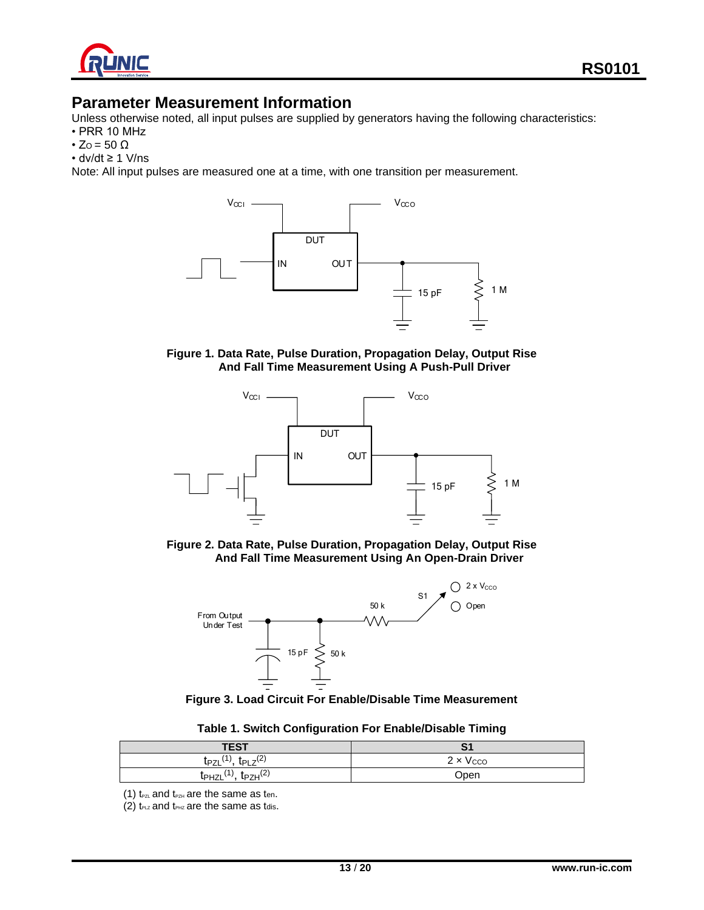

### **Parameter Measurement Information**

Unless otherwise noted, all input pulses are supplied by generators having the following characteristics:

- PRR 10 MHz
- Zo =  $50 \Omega$
- dv/dt ≥ 1 V/ns

Note: All input pulses are measured one at a time, with one transition per measurement.



**Figure 1. Data Rate, Pulse Duration, Propagation Delay, Output Rise And Fall Time Measurement Using A Push-Pull Driver**



**Figure 2. Data Rate, Pulse Duration, Propagation Delay, Output Rise And Fall Time Measurement Using An Open-Drain Driver**



**Figure 3. Load Circuit For Enable/Disable Time Measurement**

|  | Table 1. Switch Configuration For Enable/Disable Timing |
|--|---------------------------------------------------------|
|--|---------------------------------------------------------|

| <b>TEST</b>                                           | S <sub>1</sub>  |
|-------------------------------------------------------|-----------------|
| $t_{PLZ}$ <sup>(2)</sup><br>(1)<br>t <sub>PZL</sub> ( | $2 \times VCCO$ |
| $t_{PZH}$ $(2)$<br>t <sub>PHZL</sub> ('',             | Open            |

(1)  $t_{PZL}$  and  $t_{PZH}$  are the same as ten.

 $(2)$  t<sub>PLZ</sub> and t<sub>PHZ</sub> are the same as tdis.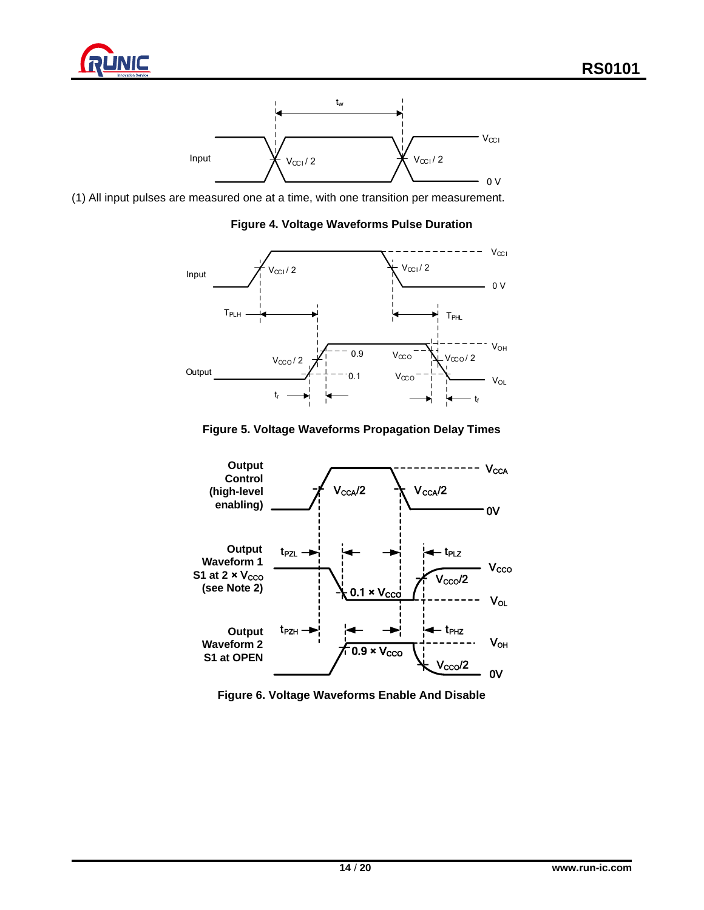



(1) All input pulses are measured one at a time, with one transition per measurement.

#### **Figure 4. Voltage Waveforms Pulse Duration**



#### **Figure 5. Voltage Waveforms Propagation Delay Times**



**Figure 6. Voltage Waveforms Enable And Disable**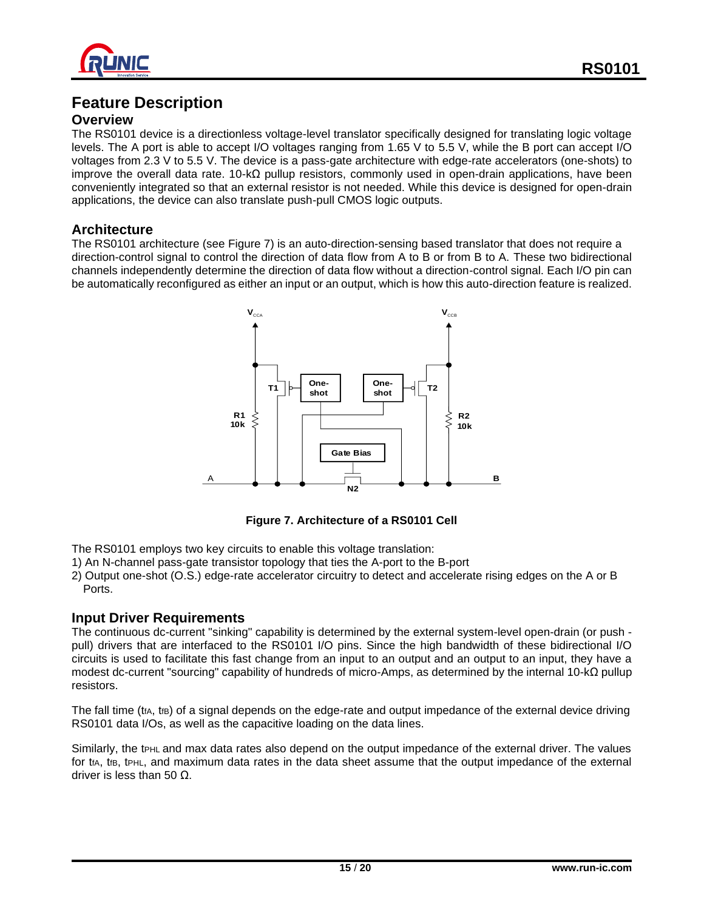

### **Feature Description**

#### **Overview**

The RS0101 device is a directionless voltage-level translator specifically designed for translating logic voltage levels. The A port is able to accept I/O voltages ranging from 1.65 V to 5.5 V, while the B port can accept I/O voltages from 2.3 V to 5.5 V. The device is a pass-gate architecture with edge-rate accelerators (one-shots) to improve the overall data rate. 10-kΩ pullup resistors, commonly used in open-drain applications, have been conveniently integrated so that an external resistor is not needed. While this device is designed for open-drain applications, the device can also translate push-pull CMOS logic outputs.

#### **Architecture**

The RS0101 architecture (see Figure 7) is an auto-direction-sensing based translator that does not require a direction-control signal to control the direction of data flow from A to B or from B to A. These two bidirectional channels independently determine the direction of data flow without a direction-control signal. Each I/O pin can be automatically reconfigured as either an input or an output, which is how this auto-direction feature is realized.



**Figure 7. Architecture of a RS0101 Cell**

The RS0101 employs two key circuits to enable this voltage translation:

1) An N-channel pass-gate transistor topology that ties the A-port to the B-port

2) Output one-shot (O.S.) edge-rate accelerator circuitry to detect and accelerate rising edges on the A or B Ports.

#### **Input Driver Requirements**

The continuous dc-current "sinking" capability is determined by the external system-level open-drain (or push pull) drivers that are interfaced to the RS0101 I/O pins. Since the high bandwidth of these bidirectional I/O circuits is used to facilitate this fast change from an input to an output and an output to an input, they have a modest dc-current "sourcing" capability of hundreds of micro-Amps, as determined by the internal 10-kΩ pullup resistors.

The fall time (ttA, ttB) of a signal depends on the edge-rate and output impedance of the external device driving RS0101 data I/Os, as well as the capacitive loading on the data lines.

Similarly, the tPHL and max data rates also depend on the output impedance of the external driver. The values for the the texternal for the data rates in the data sheet assume that the output impedance of the external driver is less than 50 Ω.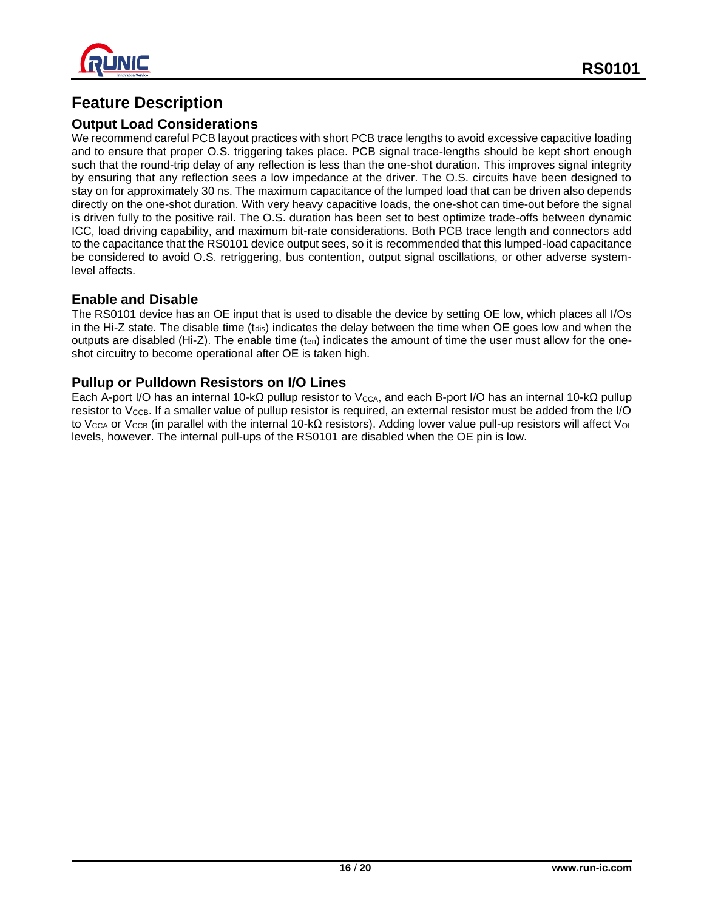

### **Feature Description**

### **Output Load Considerations**

We recommend careful PCB layout practices with short PCB trace lengths to avoid excessive capacitive loading and to ensure that proper O.S. triggering takes place. PCB signal trace-lengths should be kept short enough such that the round-trip delay of any reflection is less than the one-shot duration. This improves signal integrity by ensuring that any reflection sees a low impedance at the driver. The O.S. circuits have been designed to stay on for approximately 30 ns. The maximum capacitance of the lumped load that can be driven also depends directly on the one-shot duration. With very heavy capacitive loads, the one-shot can time-out before the signal is driven fully to the positive rail. The O.S. duration has been set to best optimize trade-offs between dynamic ICC, load driving capability, and maximum bit-rate considerations. Both PCB trace length and connectors add to the capacitance that the RS0101 device output sees, so it is recommended that this lumped-load capacitance be considered to avoid O.S. retriggering, bus contention, output signal oscillations, or other adverse systemlevel affects.

#### **Enable and Disable**

The RS0101 device has an OE input that is used to disable the device by setting OE low, which places all I/Os in the Hi-Z state. The disable time (tdis) indicates the delay between the time when OE goes low and when the outputs are disabled (Hi-Z). The enable time (ten) indicates the amount of time the user must allow for the oneshot circuitry to become operational after OE is taken high.

#### **Pullup or Pulldown Resistors on I/O Lines**

Each A-port I/O has an internal 10-kΩ pullup resistor to V<sub>CCA</sub>, and each B-port I/O has an internal 10-kΩ pullup resistor to V<sub>CCB</sub>. If a smaller value of pullup resistor is required, an external resistor must be added from the I/O to V<sub>CCA</sub> or V<sub>CCB</sub> (in parallel with the internal 10-kΩ resistors). Adding lower value pull-up resistors will affect V<sub>OL</sub> levels, however. The internal pull-ups of the RS0101 are disabled when the OE pin is low.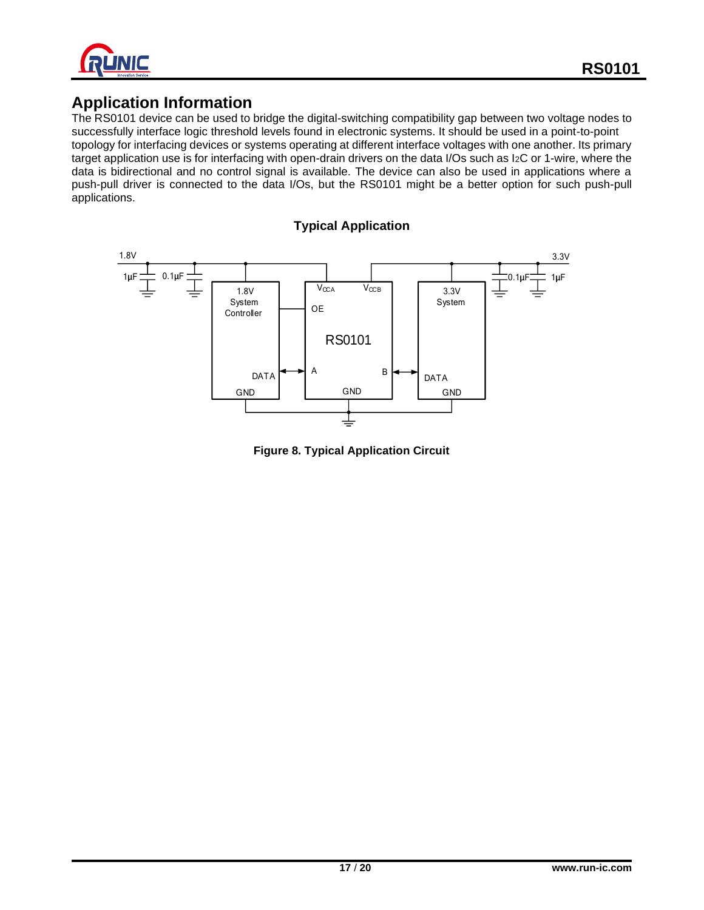

### **Application Information**

The RS0101 device can be used to bridge the digital-switching compatibility gap between two voltage nodes to successfully interface logic threshold levels found in electronic systems. It should be used in a point-to-point topology for interfacing devices or systems operating at different interface voltages with one another. Its primary target application use is for interfacing with open-drain drivers on the data I/Os such as I2C or 1-wire, where the data is bidirectional and no control signal is available. The device can also be used in applications where a push-pull driver is connected to the data I/Os, but the RS0101 might be a better option for such push-pull applications.





**Figure 8. Typical Application Circuit**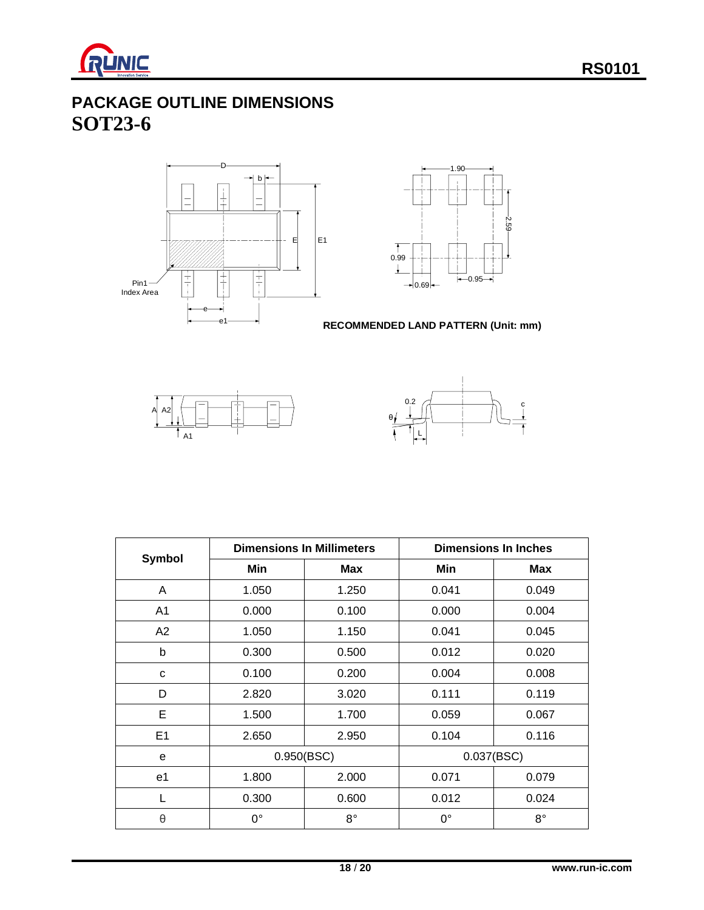

## **PACKAGE OUTLINE DIMENSIONS SOT23-6**





**RECOMMENDED LAND PATTERN (Unit: mm)**





| Symbol         |             | <b>Dimensions In Millimeters</b> | <b>Dimensions In Inches</b> |             |  |
|----------------|-------------|----------------------------------|-----------------------------|-------------|--|
|                | Min         | Max                              | Min                         | Max         |  |
| A              | 1.050       | 1.250                            | 0.041                       | 0.049       |  |
| A <sub>1</sub> | 0.000       | 0.100                            | 0.000                       | 0.004       |  |
| A2             | 1.050       | 1.150                            | 0.041                       | 0.045       |  |
| b              | 0.300       | 0.500                            | 0.012                       | 0.020       |  |
| C              | 0.100       | 0.200                            | 0.004                       | 0.008       |  |
| D              | 2.820       | 3.020                            | 0.111                       | 0.119       |  |
| E              | 1.500       | 1.700                            | 0.059                       | 0.067       |  |
| E1             | 2.650       | 2.950                            | 0.104                       | 0.116       |  |
| e              | 0.950(BSC)  |                                  | 0.037(BSC)                  |             |  |
| e1             | 1.800       | 2.000                            | 0.071                       | 0.079       |  |
|                | 0.300       | 0.600                            | 0.012                       | 0.024       |  |
| θ              | $0^{\circ}$ | $8^{\circ}$                      | $0^{\circ}$                 | $8^{\circ}$ |  |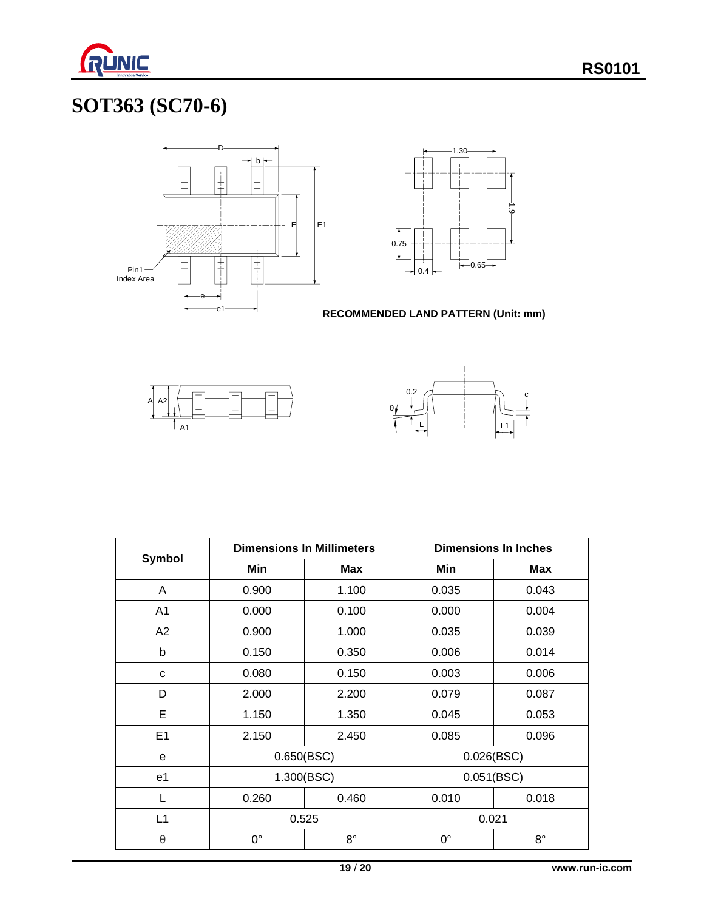

# **SOT363 (SC70-6)**





**RECOMMENDED LAND PATTERN (Unit: mm)**





|                | <b>Dimensions In Millimeters</b> |             | <b>Dimensions In Inches</b> |             |  |
|----------------|----------------------------------|-------------|-----------------------------|-------------|--|
| Symbol         | Min                              | <b>Max</b>  | Min                         | <b>Max</b>  |  |
| A              | 0.900                            | 1.100       | 0.035                       | 0.043       |  |
| A1             | 0.000                            | 0.100       | 0.000                       | 0.004       |  |
| A <sub>2</sub> | 0.900                            | 1.000       | 0.035                       | 0.039       |  |
| b              | 0.150                            | 0.350       | 0.006                       | 0.014       |  |
| C              | 0.080                            | 0.150       | 0.003                       | 0.006       |  |
| D              | 2.000                            | 2.200       | 0.079                       | 0.087       |  |
| E              | 1.150                            | 1.350       | 0.045                       | 0.053       |  |
| E1             | 2.150                            | 2.450       | 0.085                       | 0.096       |  |
| е              |                                  | 0.650(BSC)  |                             | 0.026(BSC)  |  |
| e <sub>1</sub> | 1.300(BSC)                       |             | 0.051(BSC)                  |             |  |
|                | 0.260                            | 0.460       | 0.010                       | 0.018       |  |
| L1             | 0.525                            |             | 0.021                       |             |  |
| $\Theta$       | $0^{\circ}$                      | $8^{\circ}$ | $0^{\circ}$                 | $8^{\circ}$ |  |